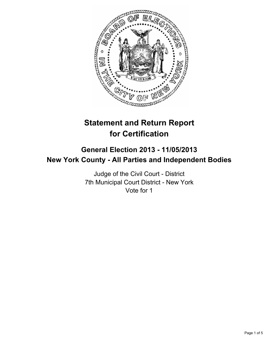

# **Statement and Return Report for Certification**

## **General Election 2013 - 11/05/2013 New York County - All Parties and Independent Bodies**

Judge of the Civil Court - District 7th Municipal Court District - New York Vote for 1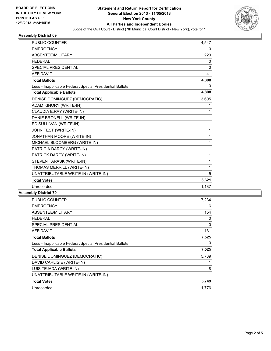

#### **Assembly District 69**

| <b>PUBLIC COUNTER</b>                                    | 4,547        |
|----------------------------------------------------------|--------------|
| <b>EMERGENCY</b>                                         | 0            |
| ABSENTEE/MILITARY                                        | 220          |
| <b>FFDFRAI</b>                                           | 0            |
| SPECIAL PRESIDENTIAL                                     | $\mathbf{0}$ |
| <b>AFFIDAVIT</b>                                         | 41           |
| <b>Total Ballots</b>                                     | 4,808        |
| Less - Inapplicable Federal/Special Presidential Ballots | 0            |
| <b>Total Applicable Ballots</b>                          | 4,808        |
| DENISE DOMINGUEZ (DEMOCRATIC)                            | 3,605        |
| ADAM KINORY (WRITE-IN)                                   | 1            |
| CLAUDIA E.RAY (WRITE-IN)                                 | 1            |
| DANIE BRONELL (WRITE-IN)                                 | 1            |
| ED SULLIVAN (WRITE-IN)                                   | 1            |
| JOHN TEST (WRITE-IN)                                     | 1            |
| JONATHAN MOORE (WRITE-IN)                                | 1            |
| MICHAEL BLOOMBERG (WRITE-IN)                             | 1            |
| PATRICIA DARCY (WRITE-IN)                                | 1            |
| PATRICK DARCY (WRITE-IN)                                 | 1            |
| STEVEN TARASK (WRITE-IN)                                 | 1            |
| THOMAS MERRILL (WRITE-IN)                                | 1            |
| UNATTRIBUTABLE WRITE-IN (WRITE-IN)                       | 5            |
| <b>Total Votes</b>                                       | 3,621        |
| Unrecorded                                               | 1,187        |
|                                                          |              |

#### **Assembly District 70**

| <b>PUBLIC COUNTER</b>                                    | 7,234 |
|----------------------------------------------------------|-------|
| <b>EMERGENCY</b>                                         | 6     |
| ABSENTEE/MILITARY                                        | 154   |
| FEDERAL                                                  | 0     |
| <b>SPECIAL PRESIDENTIAL</b>                              | 0     |
| <b>AFFIDAVIT</b>                                         | 131   |
| <b>Total Ballots</b>                                     | 7,525 |
| Less - Inapplicable Federal/Special Presidential Ballots | 0     |
| <b>Total Applicable Ballots</b>                          | 7,525 |
| DENISE DOMINGUEZ (DEMOCRATIC)                            | 5,739 |
| DAVID CARLISIE (WRITE-IN)                                | 1     |
| LUIS TEJADA (WRITE-IN)                                   | 8     |
| UNATTRIBUTABLE WRITE-IN (WRITE-IN)                       | 1     |
| <b>Total Votes</b>                                       | 5,749 |
| Unrecorded                                               | 1,776 |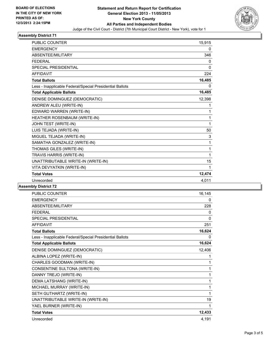

#### **Assembly District 71**

| <b>PUBLIC COUNTER</b>                                    | 15,915   |
|----------------------------------------------------------|----------|
| <b>EMERGENCY</b>                                         | 0        |
| ABSENTEE/MILITARY                                        | 346      |
| <b>FEDERAL</b>                                           | 0        |
| SPECIAL PRESIDENTIAL                                     | $\Omega$ |
| <b>AFFIDAVIT</b>                                         | 224      |
| <b>Total Ballots</b>                                     | 16,485   |
| Less - Inapplicable Federal/Special Presidential Ballots | 0        |
| <b>Total Applicable Ballots</b>                          | 16,485   |
| DENISE DOMINGUEZ (DEMOCRATIC)                            | 12,398   |
| ANDREW ALEU (WRITE-IN)                                   | 1        |
| EDWARD WARREN (WRITE-IN)                                 | 1        |
| HEATHER ROSENBAUM (WRITE-IN)                             | 1        |
| JOHN TEST (WRITE-IN)                                     | 1        |
| LUIS TEJADA (WRITE-IN)                                   | 50       |
| MIGUEL TEJADA (WRITE-IN)                                 | 3        |
| SAMATHA GONZALEZ (WRITE-IN)                              | 1        |
| THOMAS GILES (WRITE-IN)                                  | 1        |
| TRAVIS HARRIS (WRITE-IN)                                 | 1        |
| UNATTRIBUTABLE WRITE-IN (WRITE-IN)                       | 15       |
| VITA DEVYATKIN (WRITE-IN)                                | 1        |
| <b>Total Votes</b>                                       | 12,474   |
| Unrecorded                                               | 4,011    |

#### **Assembly District 72**

| PUBLIC COUNTER                                           | 16,145 |
|----------------------------------------------------------|--------|
| <b>EMERGENCY</b>                                         | 0      |
| ABSENTEE/MILITARY                                        | 228    |
| <b>FEDERAL</b>                                           | 0      |
| SPECIAL PRESIDENTIAL                                     | 0      |
| <b>AFFIDAVIT</b>                                         | 251    |
| <b>Total Ballots</b>                                     | 16,624 |
| Less - Inapplicable Federal/Special Presidential Ballots | 0      |
| <b>Total Applicable Ballots</b>                          | 16,624 |
| DENISE DOMINGUEZ (DEMOCRATIC)                            | 12,406 |
| ALBINA LOPEZ (WRITE-IN)                                  | 1      |
| CHARLES GOODMAN (WRITE-IN)                               | 1      |
| CONSENTINE SULTONA (WRITE-IN)                            | 1      |
| DANNY TREJO (WRITE-IN)                                   | 1      |
| DEMA LATSHANG (WRITE-IN)                                 | 1      |
| MICHAEL MURRAY (WRITE-IN)                                | 1      |
| SETH GUTHARTZ (WRITE-IN)                                 | 1      |
| UNATTRIBUTABLE WRITE-IN (WRITE-IN)                       | 19     |
| YAEL BURNER (WRITE-IN)                                   | 1      |
| <b>Total Votes</b>                                       | 12,433 |
| Unrecorded                                               | 4,191  |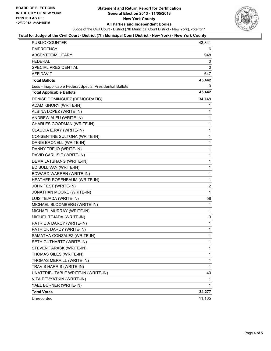

#### **Total for Judge of the Civil Court - District (7th Municipal Court District - New York) - New York County**

| <b>PUBLIC COUNTER</b>                                    | 43,841       |
|----------------------------------------------------------|--------------|
| EMERGENCY                                                | 6            |
| ABSENTEE/MILITARY                                        | 948          |
| FEDERAL                                                  | 0            |
| SPECIAL PRESIDENTIAL                                     | 0            |
| AFFIDAVIT                                                | 647          |
| <b>Total Ballots</b>                                     | 45,442       |
| Less - Inapplicable Federal/Special Presidential Ballots | 0            |
| <b>Total Applicable Ballots</b>                          | 45,442       |
| DENISE DOMINGUEZ (DEMOCRATIC)                            | 34,148       |
| ADAM KINORY (WRITE-IN)                                   | 1            |
| ALBINA LOPEZ (WRITE-IN)                                  | 1            |
| ANDREW ALEU (WRITE-IN)                                   | 1            |
| CHARLES GOODMAN (WRITE-IN)                               | $\mathbf 1$  |
| CLAUDIA E.RAY (WRITE-IN)                                 | 1            |
| CONSENTINE SULTONA (WRITE-IN)                            | 1            |
| DANIE BRONELL (WRITE-IN)                                 | $\mathbf 1$  |
| DANNY TREJO (WRITE-IN)                                   | 1            |
| DAVID CARLISIE (WRITE-IN)                                | 1            |
| DEMA LATSHANG (WRITE-IN)                                 | $\mathbf 1$  |
| ED SULLIVAN (WRITE-IN)                                   | 1            |
| EDWARD WARREN (WRITE-IN)                                 | 1            |
| HEATHER ROSENBAUM (WRITE-IN)                             | $\mathbf{1}$ |
| JOHN TEST (WRITE-IN)                                     | 2            |
| JONATHAN MOORE (WRITE-IN)                                | 1            |
| LUIS TEJADA (WRITE-IN)                                   | 58           |
| MICHAEL BLOOMBERG (WRITE-IN)                             | 1            |
| MICHAEL MURRAY (WRITE-IN)                                | 1            |
| MIGUEL TEJADA (WRITE-IN)                                 | 3            |
| PATRICIA DARCY (WRITE-IN)                                | 1            |
| PATRICK DARCY (WRITE-IN)                                 | 1            |
| SAMATHA GONZALEZ (WRITE-IN)                              | $\mathbf{1}$ |
| SETH GUTHARTZ (WRITE-IN)                                 | 1            |
| STEVEN TARASK (WRITE-IN)                                 | 1            |
| THOMAS GILES (WRITE-IN)                                  | 1            |
| THOMAS MERRILL (WRITE-IN)                                | 1            |
| TRAVIS HARRIS (WRITE-IN)                                 | 1            |
| UNATTRIBUTABLE WRITE-IN (WRITE-IN)                       | 40           |
| VITA DEVYATKIN (WRITE-IN)                                | 1            |
| YAEL BURNER (WRITE-IN)                                   | 1            |
| <b>Total Votes</b>                                       | 34,277       |
| Unrecorded                                               | 11,165       |